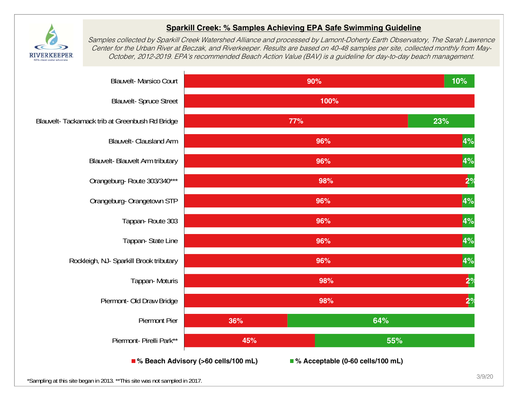

## **Sparkill Creek: % Samples Achieving EPA Safe Swimming Guideline**

Samples collected by Sparkill Creek Watershed Alliance and processed by Lamont-Doherty Earth Observatory, The Sarah Lawrence Center for the Urban River at Beczak, and Riverkeeper. Results are based on 40-48 samples per site, collected monthly from May-October, 2012-2019. EPA's recommended Beach Action Value (BAV) is a guideline for day-to-day beach management.

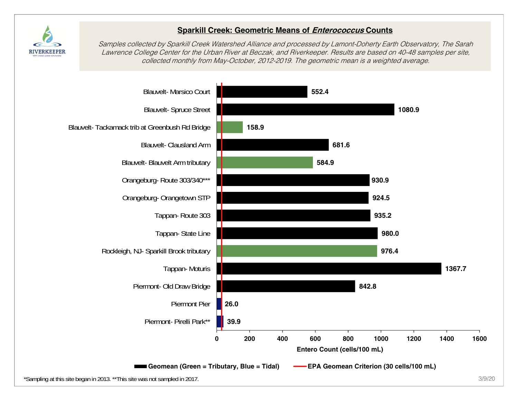

## **Sparkill Creek: Geometric Means of Enterococcus Counts**

Samples collected by Sparkill Creek Watershed Alliance and processed by Lamont-Doherty Earth Observatory, The Sarah Lawrence College Center for the Urban River at Beczak, and Riverkeeper. Results are based on 40-48 samples per site, collected monthly from May-October, 2012-2019. The geometric mean is a weighted average.